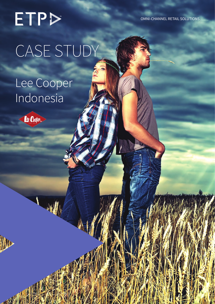ETPD CASE STUDY

ETP Case Study | Lee Cooper Indonesia Getting It Right In Retail

# Lee Cooper Indonesia

HA A



OMNI-CHANNEL RETAIL SOLUTIONS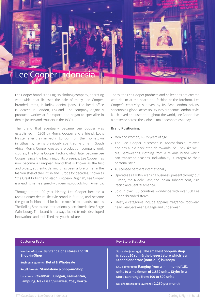

Lee Cooper brand is an English clothing company, operating worldwide, that licenses the sale of many Lee Cooperbranded items, including denim jeans. The head office is located in London, England. The company originally produced workwear for export, and began to specialize in denim jackets and trousers in the 1930s.

The brand that eventually became Lee Cooper was established in 1908 by Morris Cooper and a friend, Louis Maister, after they arrived in London from their hometown in Lithuania, having previously spent some time in South Africa. Morris Cooper created a production company work clothes, The Morris Cooper Factory, which later became Lee Cooper. Since the beginning of its presence, Lee Cooper has now become a European brand that is known as the first and oldest, authentic denim. It has been a forerunner in the fashion style of the British and Europe for decades. Known as "the Great British" and also "European Original", Lee Cooper is a leading name aligned with denim products from America.

Throughout its 100 year history, Lee Cooper became a revolutionary denim lifestyle brand in Europe, and became the go-to fashion label for iconic rock 'n' roll bands such as The Rolling Stones and internationally acclaimed talent Serge Gainsbourg. The brand has always fueled trends, developed innovations and mobilized the youth culture.

Today, the Lee Cooper products and collections are created with denim at the heart, and fashion at the forefront. Lee Cooper's creativity is driven by its East London origins, sanctioning global accessibility into authentic London style. Much loved and used throughout the world, Lee Cooper has a presence across the globe in major economies today.

#### **Brand Positioning:**

- Men and Women, 18-35 years of age
- The Lee Cooper customer is approachable, relaxed and has a laid back attitude towards life. They like wellcut, hardwearing clothing from a reliable brand which can transcend seasons. Individuality is integral to their personal style.
- 40 licensee partners internationally
- Operates as a 100% licensing business, present throughout Europe, the Middle East, the Indian subcontinent, Asia Pacific and Central America.
- Sold in over 100 countries worldwide with over 500 Lee Cooper branded stores
- Lifestyle categories include apparel, fragrance, footwear, head wear, eyewear, luggage and underwear.

#### Customer Facts

**Number of stores: 99 Standalone stores and 10 Shop-in-Shop**

**Business segments: Retail & Wholesale**

**Retail formats: Standalone & Shop-in-Shop**

**Locations: Pekanbaru, Cilegon, Kalimantan, Lampung, Makassar, Sulawesi, Yogyakarta**

#### Key Store Statistics

**Store size (average): The smallest Shop-in-shop is about 20 sqm & the biggest store which is a Standalone store (Boutique) is 80sqm**

**SKU's (average): Ranging from a minimum of 151 units to a maximum of 1,839 units. Styles in a store can range from 100 to 500 units**

**No. of sales tickets (average): 2,250 per month**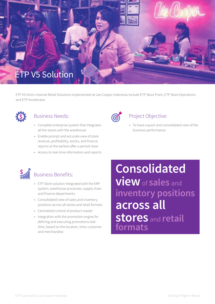

ETP V5 Omni-channel Retail Solutions implemented at Lee Cooper Indonesia include ETP Store Front, ETP Store Operations and ETP Accelerator.



### Business Needs:

- Complete enterprise system that integrates all the stores with the warehouse
- Enable prompt and accurate view of store revenue, profitability, stocks, and finance reports at the earliest after a period close
- Access to real-time information and reports



## Project Objective:

• To have a quick and consolidated view of the business performance



- ETP Store solution integrated with the ERP system, warehouse processes, supply chain and finance departments
- Consolidated view of sales and inventory positions across all stores and retail formats
- Centralized control of product master
- Integration with the promotion engine for defining and executing promotions realtime, based on the location, time, customer and merchandise

**Consolidated view**of **sales** and **inventory positions across all stores** and **retail formats**